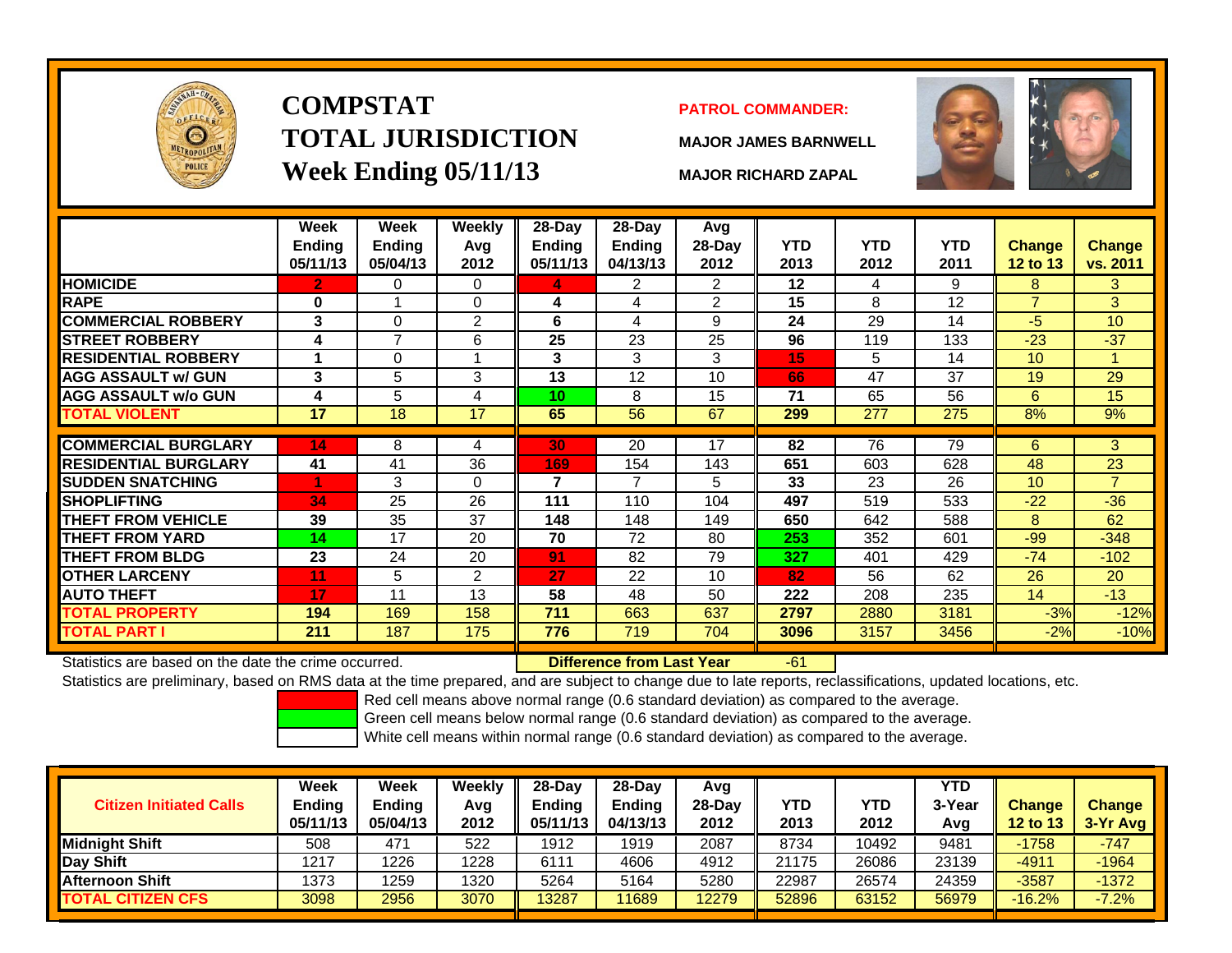

# **COMPSTATTOTAL JURISDICTIONWeek Ending 05/11/13 MAJOR RICHARD ZAPAL**

### **PATROL COMMANDER:**

**MAJOR JAMES BARNWELL**



 $-61$ 

|                             | Week<br><b>Ending</b><br>05/11/13 | Week<br><b>Ending</b><br>05/04/13 | <b>Weekly</b><br>Avg<br>2012 | 28-Day<br>Ending<br>05/11/13 | 28-Day<br><b>Ending</b><br>04/13/13 | Avg<br>$28$ -Day<br>2012 | <b>YTD</b><br>2013 | <b>YTD</b><br>2012 | <b>YTD</b><br>2011 | <b>Change</b><br>12 to 13 | <b>Change</b><br>vs. 2011 |
|-----------------------------|-----------------------------------|-----------------------------------|------------------------------|------------------------------|-------------------------------------|--------------------------|--------------------|--------------------|--------------------|---------------------------|---------------------------|
| <b>HOMICIDE</b>             | 2                                 | 0                                 | $\Omega$                     | 4                            | $\overline{2}$                      | $\overline{2}$           | 12                 | 4                  | 9                  | 8                         | 3                         |
| <b>RAPE</b>                 | $\bf{0}$                          |                                   | $\Omega$                     | 4                            | 4                                   | 2                        | 15                 | 8                  | 12                 | $\overline{7}$            | 3                         |
| <b>COMMERCIAL ROBBERY</b>   | 3                                 | 0                                 | $\overline{2}$               | 6                            | 4                                   | 9                        | 24                 | 29                 | 14                 | $-5$                      | 10                        |
| <b>STREET ROBBERY</b>       | 4                                 | 7                                 | 6                            | 25                           | 23                                  | 25                       | 96                 | 119                | 133                | $-23$                     | $-37$                     |
| <b>RESIDENTIAL ROBBERY</b>  |                                   | 0                                 |                              | 3                            | 3                                   | 3                        | 15                 | 5                  | 14                 | 10                        |                           |
| <b>AGG ASSAULT w/ GUN</b>   | 3                                 | 5                                 | 3                            | 13                           | 12                                  | 10                       | 66                 | 47                 | 37                 | 19                        | 29                        |
| <b>AGG ASSAULT w/o GUN</b>  | 4                                 | 5                                 | 4                            | 10                           | 8                                   | 15                       | 71                 | 65                 | 56                 | 6                         | 15                        |
| <b>TOTAL VIOLENT</b>        | 17                                | 18                                | 17                           | 65                           | 56                                  | 67                       | 299                | 277                | 275                | 8%                        | 9%                        |
|                             |                                   |                                   |                              |                              |                                     |                          |                    |                    |                    |                           |                           |
| <b>COMMERCIAL BURGLARY</b>  | 14                                | 8                                 | 4                            | 30                           | 20                                  | 17                       | 82                 | 76                 | 79                 | 6                         | 3                         |
| <b>RESIDENTIAL BURGLARY</b> | 41                                | 41                                | 36                           | 169                          | 154                                 | 143                      | 651                | 603                | 628                | 48                        | 23                        |
| <b>SUDDEN SNATCHING</b>     | 4                                 | 3                                 | $\Omega$                     | 7                            | 7                                   | 5                        | 33                 | 23                 | 26                 | 10                        | $\overline{7}$            |
| <b>SHOPLIFTING</b>          | 34                                | 25                                | 26                           | 111                          | 110                                 | 104                      | 497                | 519                | 533                | $-22$                     | $-36$                     |
| <b>THEFT FROM VEHICLE</b>   | 39                                | 35                                | 37                           | 148                          | 148                                 | 149                      | 650                | 642                | 588                | 8                         | 62                        |
| THEFT FROM YARD             | 14                                | 17                                | 20                           | 70                           | 72                                  | 80                       | 253                | 352                | 601                | $-99$                     | $-348$                    |
| <b>THEFT FROM BLDG</b>      | 23                                | 24                                | 20                           | 91                           | 82                                  | 79                       | 327                | 401                | 429                | $-74$                     | $-102$                    |
| <b>OTHER LARCENY</b>        | 11                                | 5                                 | 2                            | 27                           | 22                                  | 10                       | 82                 | 56                 | 62                 | 26                        | 20                        |
| <b>AUTO THEFT</b>           | 17                                | 11                                | 13                           | 58                           | 48                                  | 50                       | 222                | 208                | 235                | 14                        | $-13$                     |
| <b>TOTAL PROPERTY</b>       | 194                               | 169                               | 158                          | 711                          | 663                                 | 637                      | 2797               | 2880               | 3181               | $-3%$                     | $-12%$                    |
| TOTAL PART I                | 211                               | 187                               | 175                          | 776                          | 719                                 | 704                      | 3096               | 3157               | 3456               | $-2%$                     | $-10%$                    |

Statistics are based on the date the crime occurred. **Difference from Last Year** 

Statistics are preliminary, based on RMS data at the time prepared, and are subject to change due to late reports, reclassifications, updated locations, etc.

Red cell means above normal range (0.6 standard deviation) as compared to the average.

Green cell means below normal range (0.6 standard deviation) as compared to the average.

| <b>Citizen Initiated Calls</b> | Week<br>Ending<br>05/11/13 | <b>Week</b><br><b>Ending</b><br>05/04/13 | Weekly<br>Avg<br>2012 | 28-Day<br><b>Endina</b><br>05/11/13 | 28-Day<br><b>Ending</b><br>04/13/13 | Avg<br>$28-Day$<br>2012 | <b>YTD</b><br>2013 | YTD<br>2012 | <b>YTD</b><br>3-Year<br>Avg | <b>Change</b><br><b>12 to 13</b> | <b>Change</b><br>3-Yr Avg |
|--------------------------------|----------------------------|------------------------------------------|-----------------------|-------------------------------------|-------------------------------------|-------------------------|--------------------|-------------|-----------------------------|----------------------------------|---------------------------|
| <b>Midnight Shift</b>          | 508                        | 471                                      | 522                   | 1912                                | 1919                                | 2087                    | 8734               | 10492       | 9481                        | $-1758$                          | $-747$                    |
| Day Shift                      | 1217                       | 1226                                     | 1228                  | 6111                                | 4606                                | 4912                    | 21175              | 26086       | 23139                       | $-4911$                          | $-1964$                   |
| <b>Afternoon Shift</b>         | 1373                       | 1259                                     | 1320                  | 5264                                | 5164                                | 5280                    | 22987              | 26574       | 24359                       | $-3587$                          | $-1372$                   |
| <b>TOTAL CITIZEN CFS</b>       | 3098                       | 2956                                     | 3070                  | 13287                               | 11689                               | 12279                   | 52896              | 63152       | 56979                       | $-16.2%$                         | $-7.2%$                   |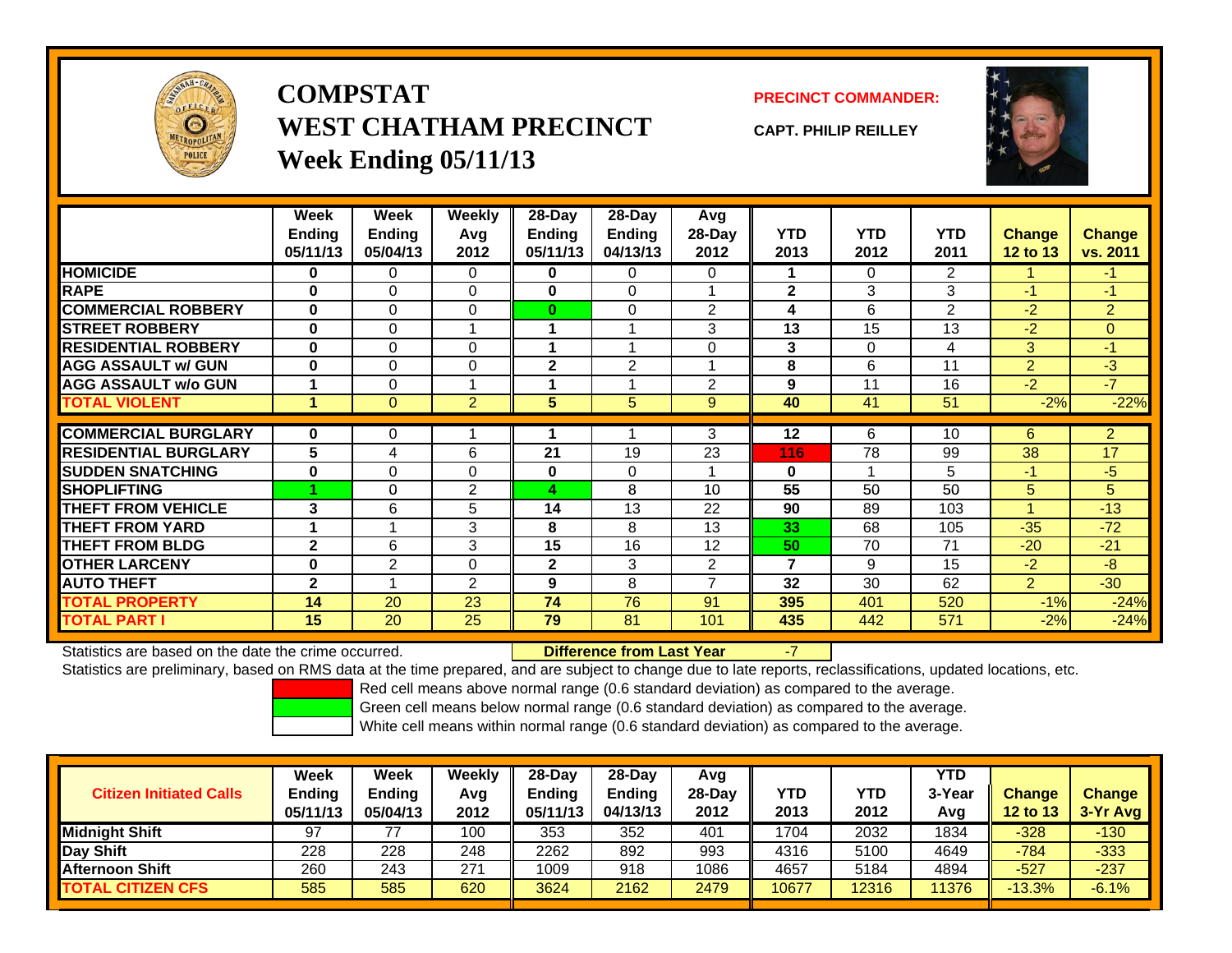

**COMPSTATWEST CHATHAM PRECINCTWeek Ending 05/11/13**

**PRECINCT COMMANDER:**

**CAPT. PHILIP REILLEY**



|                             | Week         | <b>Week</b>   | <b>Weekly</b>  | 28-Day         | $28 - Day$     | Avg            |              |            |                |                 |                |
|-----------------------------|--------------|---------------|----------------|----------------|----------------|----------------|--------------|------------|----------------|-----------------|----------------|
|                             | Ending       | <b>Endina</b> | Avg            | Endina         | <b>Ending</b>  | 28-Day         | <b>YTD</b>   | <b>YTD</b> | <b>YTD</b>     | <b>Change</b>   | <b>Change</b>  |
|                             | 05/11/13     | 05/04/13      | 2012           | 05/11/13       | 04/13/13       | 2012           | 2013         | 2012       | 2011           | <b>12 to 13</b> | vs. 2011       |
| <b>HOMICIDE</b>             | 0            | 0             | 0              | 0              | 0              | 0              |              | $\Omega$   | $\overline{2}$ |                 | $-1$           |
| <b>RAPE</b>                 | $\bf{0}$     | 0             | $\mathbf 0$    | $\bf{0}$       | $\Omega$       |                | $\mathbf{2}$ | 3          | 3              | $-1$            | $-1$           |
| <b>COMMERCIAL ROBBERY</b>   | $\bf{0}$     | 0             | $\mathbf 0$    | $\bf{0}$       | 0              | $\overline{2}$ | 4            | 6          | 2              | $-2$            | $\overline{2}$ |
| <b>STREET ROBBERY</b>       | $\bf{0}$     | 0             |                |                |                | 3              | 13           | 15         | 13             | $-2$            | $\overline{0}$ |
| <b>RESIDENTIAL ROBBERY</b>  | $\bf{0}$     | 0             | $\Omega$       |                |                | 0              | 3            | $\Omega$   | 4              | 3               | $-1$           |
| <b>AGG ASSAULT w/ GUN</b>   | $\bf{0}$     | 0             | $\Omega$       | $\mathbf 2$    | $\overline{2}$ |                | 8            | 6          | 11             | $\overline{2}$  | $-3$           |
| <b>AGG ASSAULT w/o GUN</b>  |              | 0             |                |                |                | 2              | 9            | 11         | 16             | $-2$            | $-7$           |
| <b>TOTAL VIOLENT</b>        | 1            | 0             | $\overline{2}$ | 5 <sup>5</sup> | 5              | 9              | 40           | 41         | 51             | $-2%$           | $-22%$         |
|                             |              |               |                |                |                |                |              |            |                |                 |                |
| <b>COMMERCIAL BURGLARY</b>  | $\bf{0}$     | 0             |                |                |                | 3              | 12           | 6          | 10             | 6               | $\overline{2}$ |
| <b>RESIDENTIAL BURGLARY</b> | 5            | 4             | 6              | 21             | 19             | 23             | 116          | 78         | 99             | 38              | 17             |
| <b>SUDDEN SNATCHING</b>     | $\bf{0}$     | 0             | $\Omega$       | $\bf{0}$       | 0              |                | $\bf{0}$     |            | 5              | $-1$            | $-5$           |
| <b>SHOPLIFTING</b>          |              | 0             | 2              | 4              | 8              | 10             | 55           | 50         | 50             | 5               | 5              |
| <b>THEFT FROM VEHICLE</b>   | 3            | 6             | 5              | 14             | 13             | 22             | 90           | 89         | 103            | 4               | $-13$          |
| <b>THEFT FROM YARD</b>      | 1            |               | 3              | 8              | 8              | 13             | 33           | 68         | 105            | $-35$           | $-72$          |
| <b>THEFT FROM BLDG</b>      | $\mathbf{2}$ | 6             | 3              | 15             | 16             | 12             | 50           | 70         | 71             | $-20$           | $-21$          |
| <b>OTHER LARCENY</b>        | 0            | 2             | $\mathbf 0$    | $\mathbf{2}$   | 3              | 2              | 7            | 9          | 15             | $-2$            | $-8$           |
| <b>AUTO THEFT</b>           | $\mathbf{2}$ |               | $\overline{2}$ | 9              | 8              | 7              | 32           | 30         | 62             | 2               | $-30$          |
| <b>TOTAL PROPERTY</b>       | 14           | 20            | 23             | 74             | 76             | 91             | 395          | 401        | 520            | $-1%$           | $-24%$         |
| <b>TOTAL PART I</b>         | 15           | 20            | 25             | 79             | 81             | 101            | 435          | 442        | 571            | $-2%$           | $-24%$         |

Statistics are based on the date the crime occurred. **Difference from Last Year** 

Statistics are preliminary, based on RMS data at the time prepared, and are subject to change due to late reports, reclassifications, updated locations, etc.

Red cell means above normal range (0.6 standard deviation) as compared to the average.

-7

Green cell means below normal range (0.6 standard deviation) as compared to the average.

| <b>Citizen Initiated Calls</b> | Week<br>Ending<br>05/11/13 | <b>Week</b><br><b>Ending</b><br>05/04/13 | Weekly<br>Avg<br>2012 | $28-Day$<br>Ending<br>05/11/13 | 28-Dav<br><b>Ending</b><br>04/13/13 | Avg<br>28-Day<br>2012 | YTD<br>2013 | YTD<br>2012 | <b>YTD</b><br>3-Year<br>Avg | <b>Change</b><br><b>12 to 13</b> | <b>Change</b><br>3-Yr Avg |
|--------------------------------|----------------------------|------------------------------------------|-----------------------|--------------------------------|-------------------------------------|-----------------------|-------------|-------------|-----------------------------|----------------------------------|---------------------------|
| <b>Midnight Shift</b>          | 97                         |                                          | 100                   | 353                            | 352                                 | 401                   | 1704        | 2032        | 1834                        | $-328$                           | $-130$                    |
| Day Shift                      | 228                        | 228                                      | 248                   | 2262                           | 892                                 | 993                   | 4316        | 5100        | 4649                        | $-784$                           | $-333$                    |
| <b>Afternoon Shift</b>         | 260                        | 243                                      | 271                   | 1009                           | 918                                 | 1086                  | 4657        | 5184        | 4894                        | $-527$                           | $-237$                    |
| <b>TOTAL CITIZEN CFS</b>       | 585                        | 585                                      | 620                   | 3624                           | 2162                                | 2479                  | 10677       | 12316       | 11376                       | $-13.3%$                         | $-6.1%$                   |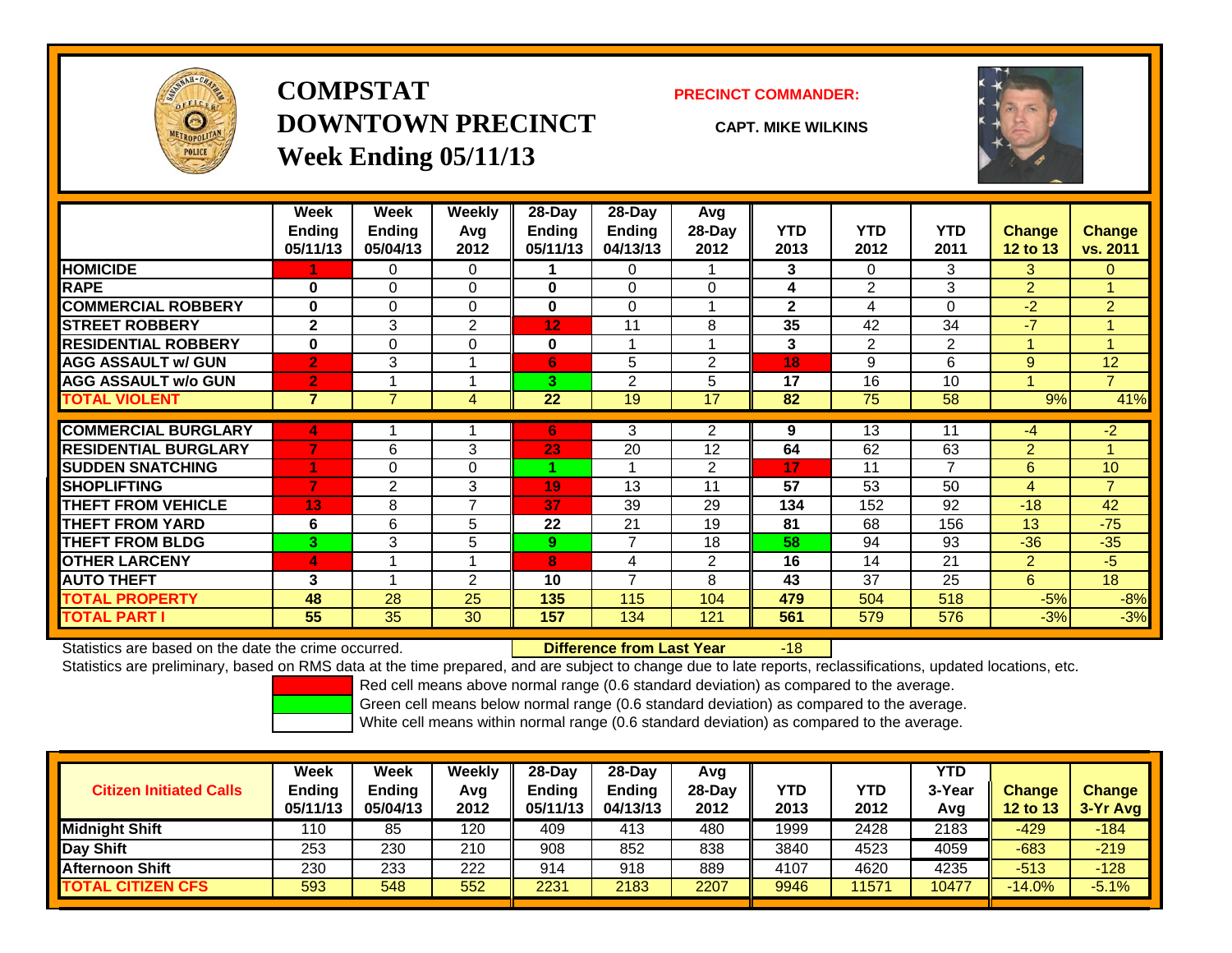

## **COMPSTATDOWNTOWN PRECINCTWeek Ending 05/11/13**

### **PRECINCT COMMANDER:**

**CAPT. MIKE WILKINS**

-18



|                             | Week           | Week           | <b>Weekly</b>  | $28$ -Day | $28 - Day$     | Avg              |              |                |                |                 |                |
|-----------------------------|----------------|----------------|----------------|-----------|----------------|------------------|--------------|----------------|----------------|-----------------|----------------|
|                             | <b>Ending</b>  | <b>Ending</b>  | Avg            | Ending    | <b>Ending</b>  | 28-Day           | <b>YTD</b>   | <b>YTD</b>     | <b>YTD</b>     | <b>Change</b>   | Change         |
|                             | 05/11/13       | 05/04/13       | 2012           | 05/11/13  | 04/13/13       | 2012             | 2013         | 2012           | 2011           | <b>12 to 13</b> | vs. 2011       |
| <b>HOMICIDE</b>             |                | 0              | 0              |           | $\Omega$       |                  | 3            | $\Omega$       | 3              | 3               | $\Omega$       |
| <b>RAPE</b>                 | $\bf{0}$       | $\Omega$       | $\Omega$       | 0         | $\Omega$       | $\Omega$         | 4            | $\overline{2}$ | 3              | $\overline{2}$  |                |
| <b>COMMERCIAL ROBBERY</b>   | $\bf{0}$       | $\Omega$       | $\Omega$       | $\bf{0}$  | $\Omega$       |                  | $\mathbf{2}$ | 4              | 0              | $-2$            | $\overline{2}$ |
| <b>STREET ROBBERY</b>       | $\mathbf{2}$   | 3              | $\overline{2}$ | 12        | 11             | 8                | 35           | 42             | 34             | $-7$            |                |
| <b>RESIDENTIAL ROBBERY</b>  | $\bf{0}$       | $\Omega$       | $\Omega$       | $\bf{0}$  | $\overline{A}$ | $\boldsymbol{A}$ | 3            | 2              | $\overline{2}$ |                 |                |
| <b>AGG ASSAULT w/ GUN</b>   | $\overline{2}$ | 3              |                | 6         | 5              | $\overline{2}$   | 18           | 9              | 6              | 9               | 12             |
| <b>AGG ASSAULT w/o GUN</b>  | $\overline{2}$ |                |                | 3         | 2              | 5                | 17           | 16             | 10             |                 | $\overline{7}$ |
| <b>TOTAL VIOLENT</b>        | $\overline{7}$ | 7              | 4              | 22        | 19             | 17               | 82           | 75             | 58             | 9%              | 41%            |
| <b>COMMERCIAL BURGLARY</b>  | 4              |                |                | 6         | 3              | 2                | 9            | 13             | 11             | -4              | $-2$           |
| <b>RESIDENTIAL BURGLARY</b> | 7              | 6              | 3              | 23        | 20             | 12               | 64           | 62             | 63             | $\overline{2}$  |                |
| <b>SUDDEN SNATCHING</b>     |                | $\Omega$       | $\Omega$       |           |                | $\overline{2}$   | 17           | 11             | $\overline{7}$ | 6               | 10             |
| <b>SHOPLIFTING</b>          | $\overline{7}$ | $\overline{2}$ | 3              | 19        | 13             | 11               | 57           | 53             | 50             | 4               | $\overline{7}$ |
| <b>THEFT FROM VEHICLE</b>   | 13             | 8              | 7              | 37        | 39             | 29               | 134          | 152            | 92             | $-18$           | 42             |
| <b>THEFT FROM YARD</b>      | 6              | 6              | 5              | 22        | 21             | 19               | 81           | 68             | 156            | 13              | $-75$          |
| <b>THEFT FROM BLDG</b>      | 3 <sup>°</sup> | 3              | 5              | 9         | 7              | 18               | 58           | 94             | 93             | $-36$           | $-35$          |
| <b>OTHER LARCENY</b>        | 4              | 4              | и              | 8         | 4              | $\overline{2}$   | 16           | 14             | 21             | 2               | $-5$           |
| <b>AUTO THEFT</b>           | 3              |                | 2              | 10        | $\overline{7}$ | 8                | 43           | 37             | 25             | 6               | 18             |
| <b>TOTAL PROPERTY</b>       | 48             | 28             | 25             | 135       | 115            | 104              | 479          | 504            | 518            | $-5%$           | $-8%$          |
| <b>TOTAL PART I</b>         | 55             | 35             | 30             | 157       | 134            | 121              | 561          | 579            | 576            | $-3%$           | $-3%$          |

Statistics are based on the date the crime occurred. **Difference from Last Year** 

Statistics are preliminary, based on RMS data at the time prepared, and are subject to change due to late reports, reclassifications, updated locations, etc.

Red cell means above normal range (0.6 standard deviation) as compared to the average.

Green cell means below normal range (0.6 standard deviation) as compared to the average.

| <b>Citizen Initiated Calls</b> | Week<br><b>Ending</b><br>05/11/13 | <b>Week</b><br><b>Ending</b><br>05/04/13 | Weekly<br>Avg<br>2012 | $28-Dav$<br>Ending<br>05/11/13 | $28$ -Dav<br><b>Ending</b><br>04/13/13 | Avg<br>$28-Dav$<br>2012 | YTD<br>2013 | <b>YTD</b><br>2012 | YTD<br>3-Year<br>Avg | <b>Change</b><br>12 to 13 | <b>Change</b><br>3-Yr Avg |
|--------------------------------|-----------------------------------|------------------------------------------|-----------------------|--------------------------------|----------------------------------------|-------------------------|-------------|--------------------|----------------------|---------------------------|---------------------------|
| <b>Midnight Shift</b>          | 110                               | 85                                       | 120                   | 409                            | 413                                    | 480                     | 1999        | 2428               | 2183                 | $-429$                    | $-184$                    |
| Day Shift                      | 253                               | 230                                      | 210                   | 908                            | 852                                    | 838                     | 3840        | 4523               | 4059                 | $-683$                    | $-219$                    |
| <b>Afternoon Shift</b>         | 230                               | 233                                      | 222                   | 914                            | 918                                    | 889                     | 4107        | 4620               | 4235                 | $-513$                    | $-128$                    |
| <b>TOTAL CITIZEN CFS</b>       | 593                               | 548                                      | 552                   | 2231                           | 2183                                   | 2207                    | 9946        | 11571              | 10477                | $-14.0%$                  | $-5.1%$                   |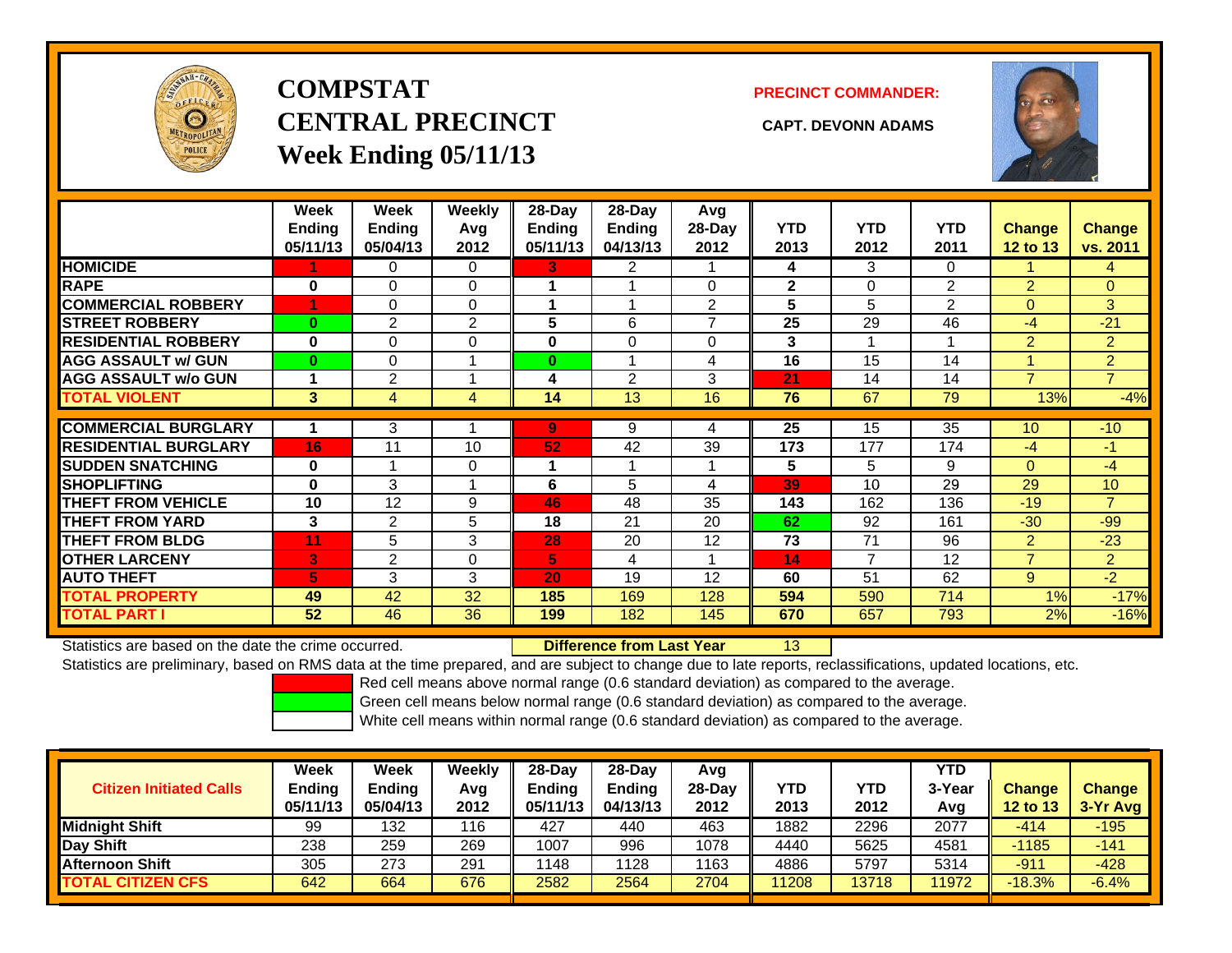

# **COMPSTATCENTRAL PRECINCT CAPT. DEVONN ADAMSWeek Ending 05/11/13**

**PRECINCT COMMANDER:**



|                             | Week<br><b>Ending</b><br>05/11/13 | Week<br><b>Ending</b><br>05/04/13 | <b>Weekly</b><br>Avq<br>2012 | 28-Day<br>Ending<br>05/11/13 | 28-Day<br><b>Ending</b><br>04/13/13 | Avg<br>28-Day<br>2012 | <b>YTD</b><br>2013 | <b>YTD</b><br>2012 | <b>YTD</b><br>2011 | <b>Change</b><br>12 to 13 | <b>Change</b><br>vs. 2011 |
|-----------------------------|-----------------------------------|-----------------------------------|------------------------------|------------------------------|-------------------------------------|-----------------------|--------------------|--------------------|--------------------|---------------------------|---------------------------|
| <b>HOMICIDE</b>             |                                   | 0                                 | $\Omega$                     | 3.                           | 2                                   |                       | 4                  | 3                  | 0                  |                           | 4                         |
| <b>RAPE</b>                 | 0                                 | $\Omega$                          | $\Omega$                     |                              |                                     | 0                     | $\mathbf{2}$       | $\Omega$           | 2                  | $\overline{2}$            | $\overline{0}$            |
| <b>COMMERCIAL ROBBERY</b>   | 4                                 | $\Omega$                          | $\Omega$                     |                              |                                     | $\overline{2}$        | 5                  | 5                  | $\overline{2}$     | $\Omega$                  | 3 <sup>1</sup>            |
| <b>STREET ROBBERY</b>       | $\bf{0}$                          | 2                                 | 2                            | 5                            | 6                                   | $\overline{ }$        | 25                 | 29                 | 46                 | $-4$                      | $-21$                     |
| <b>RESIDENTIAL ROBBERY</b>  | $\bf{0}$                          | $\Omega$                          | $\Omega$                     | 0                            | 0                                   | 0                     | 3                  |                    | 1                  | 2                         | $\overline{2}$            |
| <b>AGG ASSAULT w/ GUN</b>   | $\bf{0}$                          | $\Omega$                          |                              | $\bf{0}$                     |                                     | 4                     | 16                 | 15                 | 14                 |                           | $\overline{2}$            |
| <b>AGG ASSAULT w/o GUN</b>  |                                   | 2                                 | -4                           | 4                            | $\overline{2}$                      | 3                     | $ 21\rangle$       | 14                 | 14                 | $\overline{7}$            | $\overline{7}$            |
| <b>TOTAL VIOLENT</b>        | 3                                 | $\overline{4}$                    | 4                            | 14                           | 13                                  | 16                    | 76                 | 67                 | 79                 | 13%                       | $-4%$                     |
|                             |                                   |                                   |                              |                              |                                     |                       |                    |                    |                    |                           |                           |
| <b>COMMERCIAL BURGLARY</b>  |                                   | 3                                 |                              | 9                            | 9                                   | 4                     | 25                 | 15                 | 35                 | 10                        | $-10$                     |
| <b>RESIDENTIAL BURGLARY</b> | 16                                | 11                                | 10                           | 52                           | 42                                  | 39                    | 173                | 177                | 174                | $-4$                      | -1                        |
| <b>SUDDEN SNATCHING</b>     | $\bf{0}$                          |                                   | $\Omega$                     |                              |                                     |                       | 5                  | 5                  | 9                  | $\mathbf{0}$              | $-4$                      |
| <b>SHOPLIFTING</b>          | $\bf{0}$                          | 3                                 | 1                            | 6                            | 5                                   | 4                     | 39                 | 10                 | 29                 | 29                        | 10                        |
| <b>THEFT FROM VEHICLE</b>   | 10                                | 12                                | 9                            | 46                           | 48                                  | 35                    | 143                | 162                | 136                | $-19$                     | $\overline{7}$            |
| <b>THEFT FROM YARD</b>      | 3                                 | 2                                 | 5                            | 18                           | 21                                  | 20                    | 62                 | 92                 | 161                | $-30$                     | $-99$                     |
| <b>THEFT FROM BLDG</b>      | 11                                | 5                                 | 3                            | 28                           | 20                                  | 12                    | 73                 | 71                 | 96                 | 2                         | $-23$                     |
| <b>OTHER LARCENY</b>        | 3                                 | 2                                 | $\Omega$                     | 5                            | 4                                   |                       | 14                 | $\overline{7}$     | 12                 | $\overline{7}$            | $\overline{2}$            |
| <b>AUTO THEFT</b>           | 5                                 | 3                                 | 3                            | 20                           | 19                                  | 12                    | 60                 | 51                 | 62                 | 9                         | $-2$                      |
| <b>TOTAL PROPERTY</b>       | 49                                | 42                                | 32                           | 185                          | 169                                 | 128                   | 594                | 590                | 714                | 1%                        | $-17%$                    |
| <b>TOTAL PART I</b>         | 52                                | 46                                | 36                           | 199                          | 182                                 | 145                   | 670                | 657                | 793                | 2%                        | $-16%$                    |

Statistics are based on the date the crime occurred. **Difference from Last Year** 

13

Statistics are preliminary, based on RMS data at the time prepared, and are subject to change due to late reports, reclassifications, updated locations, etc.

Red cell means above normal range (0.6 standard deviation) as compared to the average.

Green cell means below normal range (0.6 standard deviation) as compared to the average.

| <b>Ending</b><br>05/11/13 | Ending<br>05/04/13 | Avg<br>2012 | $28-Dav$<br><b>Ending</b><br>05/11/13 | 28-Day<br><b>Ending</b><br>04/13/13 | Avg<br>$28-Day$<br>2012 | <b>YTD</b><br>2013 | <b>YTD</b><br>2012 | <b>YTD</b><br>3-Year<br>Avg | <b>Change</b><br>12 to 13 | <b>Change</b><br>$3-Yr$ Avg |
|---------------------------|--------------------|-------------|---------------------------------------|-------------------------------------|-------------------------|--------------------|--------------------|-----------------------------|---------------------------|-----------------------------|
| 99                        | 132                | 116         | 427                                   | 440                                 | 463                     | 1882               | 2296               | 2077                        | -414                      | $-195$                      |
| 238                       | 259                | 269         | 1007                                  | 996                                 | 1078                    | 4440               | 5625               | 4581                        | $-1185$                   | $-141$                      |
| 305                       | 273                | 291         | 1148                                  | 1128                                | 1163                    | 4886               | 5797               | 5314                        | $-911$                    | $-428$                      |
| 642                       | 664                | 676         | 2582                                  | 2564                                | 2704                    | 11208              | 13718              | 1972                        | $-18.3%$                  | $-6.4%$                     |
|                           |                    |             |                                       |                                     |                         |                    |                    |                             |                           |                             |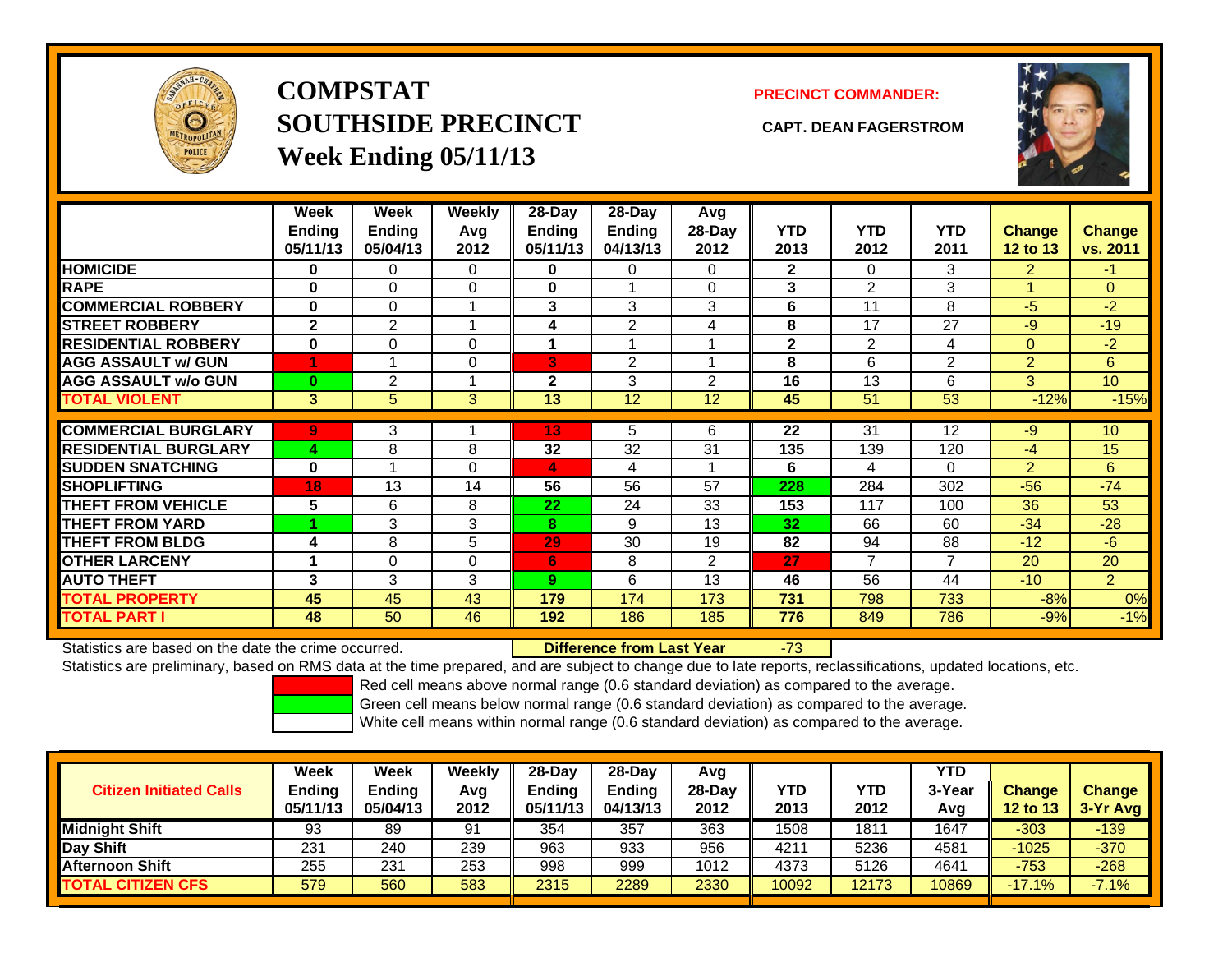

# **COMPSTATSOUTHSIDE PRECINCT CAPT. DEAN FAGERSTROMWeek Ending 05/11/13**

### **PRECINCT COMMANDER:**



|                             | Week<br><b>Ending</b><br>05/11/13 | Week<br><b>Ending</b><br>05/04/13 | <b>Weekly</b><br>Avg<br>2012 | 28-Day<br>Ending<br>05/11/13 | 28-Day<br>Ending<br>04/13/13 | Avg<br>$28-Day$<br>2012 | <b>YTD</b><br>2013 | <b>YTD</b><br>2012 | <b>YTD</b><br>2011 | <b>Change</b><br>12 to 13 | <b>Change</b><br>vs. 2011 |
|-----------------------------|-----------------------------------|-----------------------------------|------------------------------|------------------------------|------------------------------|-------------------------|--------------------|--------------------|--------------------|---------------------------|---------------------------|
| <b>HOMICIDE</b>             | 0                                 | 0                                 | 0                            | 0                            | 0                            | 0                       | $\mathbf{2}$       | $\Omega$           | 3                  | $\overline{2}$            | $-1$                      |
| <b>RAPE</b>                 | 0                                 | 0                                 | 0                            | 0                            |                              | $\Omega$                | 3                  | $\mathfrak{p}$     | 3                  |                           | $\Omega$                  |
| <b>COMMERCIAL ROBBERY</b>   | 0                                 | 0                                 |                              | 3                            | 3                            | 3                       | 6                  | 11                 | 8                  | $-5$                      | $-2$                      |
| <b>STREET ROBBERY</b>       | $\mathbf{2}$                      | $\overline{2}$                    |                              | 4                            | $\overline{2}$               | 4                       | 8                  | 17                 | 27                 | -9                        | $-19$                     |
| <b>RESIDENTIAL ROBBERY</b>  | $\bf{0}$                          | 0                                 | 0                            | 1                            | 1                            |                         | $\mathbf{2}$       | 2                  | 4                  | $\Omega$                  | $-2$                      |
| <b>AGG ASSAULT w/ GUN</b>   |                                   |                                   | 0                            | B                            | $\overline{2}$               |                         | 8                  | 6                  | 2                  | 2                         | 6                         |
| <b>AGG ASSAULT w/o GUN</b>  | $\bf{0}$                          | $\overline{2}$                    |                              | $\mathbf{2}$                 | 3                            | $\mathfrak{p}$          | 16                 | 13                 | 6                  | 3                         | 10                        |
| <b>TOTAL VIOLENT</b>        | 3                                 | 5                                 | 3                            | 13                           | 12                           | 12                      | 45                 | 51                 | 53                 | $-12%$                    | $-15%$                    |
| <b>COMMERCIAL BURGLARY</b>  | 9                                 | 3                                 |                              | 13                           | 5                            | 6                       | 22                 | 31                 | 12                 | -9                        | 10                        |
| <b>RESIDENTIAL BURGLARY</b> |                                   |                                   | 8                            | 32                           | 32                           |                         |                    |                    |                    |                           | 15                        |
|                             | 4                                 | 8                                 |                              |                              |                              | 31                      | 135                | 139                | 120                | -4                        |                           |
| <b>SUDDEN SNATCHING</b>     | $\bf{0}$                          |                                   | $\Omega$                     | 4                            | 4                            |                         | 6                  | 4                  | 0                  | $\overline{2}$            | 6                         |
| <b>SHOPLIFTING</b>          | 18                                | 13                                | 14                           | 56                           | 56                           | 57                      | 228                | 284                | 302                | $-56$                     | $-74$                     |
| <b>THEFT FROM VEHICLE</b>   | 5                                 | 6                                 | 8                            | 22                           | 24                           | 33                      | 153                | 117                | 100                | 36                        | 53                        |
| <b>THEFT FROM YARD</b>      |                                   | 3                                 | 3                            | 8                            | 9                            | 13                      | 32                 | 66                 | 60                 | $-34$                     | $-28$                     |
| <b>THEFT FROM BLDG</b>      | 4                                 | 8                                 | 5                            | 29                           | 30                           | 19                      | 82                 | 94                 | 88                 | $-12$                     | $-6$                      |
| <b>OTHER LARCENY</b>        | 1                                 | 0                                 | $\Omega$                     | 6                            | 8                            | $\overline{2}$          | 27                 | $\overline{7}$     | 7                  | 20                        | 20                        |
| <b>AUTO THEFT</b>           | 3                                 | 3                                 | 3                            | 9                            | 6                            | 13                      | 46                 | 56                 | 44                 | $-10$                     | $\overline{2}$            |
| <b>TOTAL PROPERTY</b>       | 45                                | 45                                | 43                           | 179                          | 174                          | 173                     | 731                | 798                | 733                | $-8%$                     | 0%                        |
| <b>TOTAL PART I</b>         | 48                                | 50                                | 46                           | 192                          | 186                          | 185                     | 776                | 849                | 786                | $-9%$                     | $-1%$                     |

Statistics are based on the date the crime occurred. **Difference from Last Year** 

### r -73

Statistics are preliminary, based on RMS data at the time prepared, and are subject to change due to late reports, reclassifications, updated locations, etc.

Red cell means above normal range (0.6 standard deviation) as compared to the average.

Green cell means below normal range (0.6 standard deviation) as compared to the average.

| <b>Citizen Initiated Calls</b> | Week<br><b>Ending</b><br>05/11/13 | Week<br><b>Ending</b><br>05/04/13 | Weekly<br>Avg<br>2012 | $28-Dav$<br><b>Ending</b><br>05/11/13 | $28$ -Dav<br><b>Ending</b><br>04/13/13 | Avg<br>$28-Dav$<br>2012 | YTD<br>2013 | YTD<br>2012 | <b>YTD</b><br>3-Year<br>Avg | <b>Change</b><br>12 to 13 | <b>Change</b><br>$3-Yr$ Avg |
|--------------------------------|-----------------------------------|-----------------------------------|-----------------------|---------------------------------------|----------------------------------------|-------------------------|-------------|-------------|-----------------------------|---------------------------|-----------------------------|
| <b>Midnight Shift</b>          | 93                                | 89                                | 91                    | 354                                   | 357                                    | 363                     | 1508        | 1811        | 1647                        | $-303$                    | $-139$                      |
| Day Shift                      | 231                               | 240                               | 239                   | 963                                   | 933                                    | 956                     | 4211        | 5236        | 4581                        | $-1025$                   | $-370$                      |
| <b>Afternoon Shift</b>         | 255                               | 231                               | 253                   | 998                                   | 999                                    | 1012                    | 4373        | 5126        | 4641                        | $-753$                    | $-268$                      |
| <b>TOTAL CITIZEN CFS</b>       | 579                               | 560                               | 583                   | 2315                                  | 2289                                   | 2330                    | 10092       | 12173       | 0869                        | $-17.1%$                  | $-7.1%$                     |